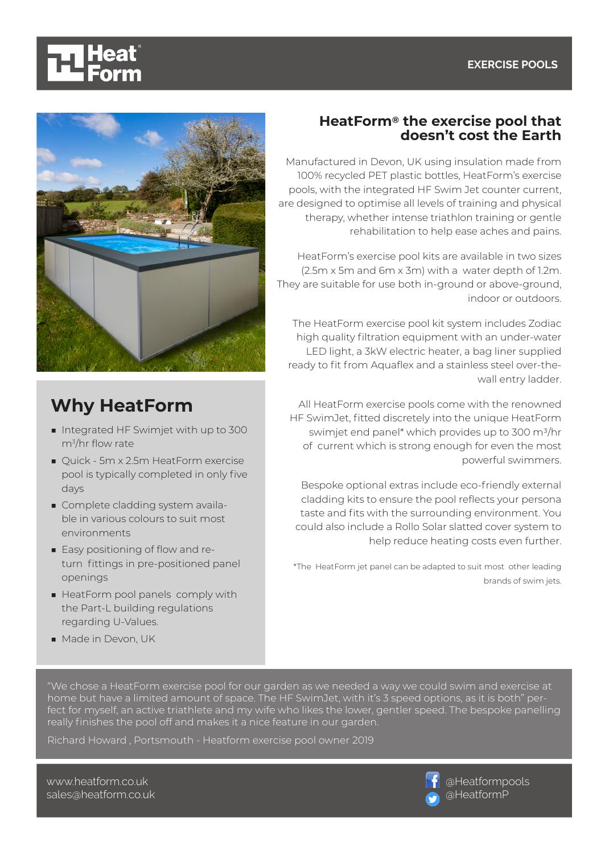### **EXERCISE POOLS**



## **HeatForm® the exercise pool that doesn't cost the Earth**

Manufactured in Devon, UK using insulation made from 100% recycled PET plastic bottles, HeatForm's exercise pools, with the integrated HF Swim Jet counter current, are designed to optimise all levels of training and physical therapy, whether intense triathlon training or gentle rehabilitation to help ease aches and pains.

HeatForm's exercise pool kits are available in two sizes (2.5m x 5m and 6m x 3m) with a water depth of 1.2m. They are suitable for use both in-ground or above-ground, indoor or outdoors.

The HeatForm exercise pool kit system includes Zodiac high quality filtration equipment with an under-water LED light, a 3kW electric heater, a bag liner supplied ready to fit from Aquaflex and a stainless steel over-thewall entry ladder.

All HeatForm exercise pools come with the renowned HF SwimJet, fitted discretely into the unique HeatForm swimjet end panel\* which provides up to 300 m3/hr of current which is strong enough for even the most powerful swimmers.

 Bespoke optional extras include eco-friendly external cladding kits to ensure the pool reflects your persona taste and fits with the surrounding environment. You could also include a Rollo Solar slatted cover system to help reduce heating costs even further.

\*The HeatForm jet panel can be adapted to suit most other leading brands of swim jets.



# **Why HeatForm**

- Integrated HF Swimjet with up to 300 m3 /hr flow rate
- Quick 5m x 2.5m HeatForm exercise pool is typically completed in only five days
- Complete cladding system available in various colours to suit most environments
- Easy positioning of flow and return fittings in pre-positioned panel openings
- HeatForm pool panels comply with the Part-L building regulations regarding U-Values.
- Made in Devon, UK

"We chose a HeatForm exercise pool for our garden as we needed a way we could swim and exercise at home but have a limited amount of space. The HF SwimJet, with it's 3 speed options, as it is both" perfect for myself, an active triathlete and my wife who likes the lower, gentler speed. The bespoke panelling really finishes the pool off and makes it a nice feature in our garden.

Richard Howard , Portsmouth - Heatform exercise pool owner 2019

www.heatform.co.uk sales@heatform.co.uk